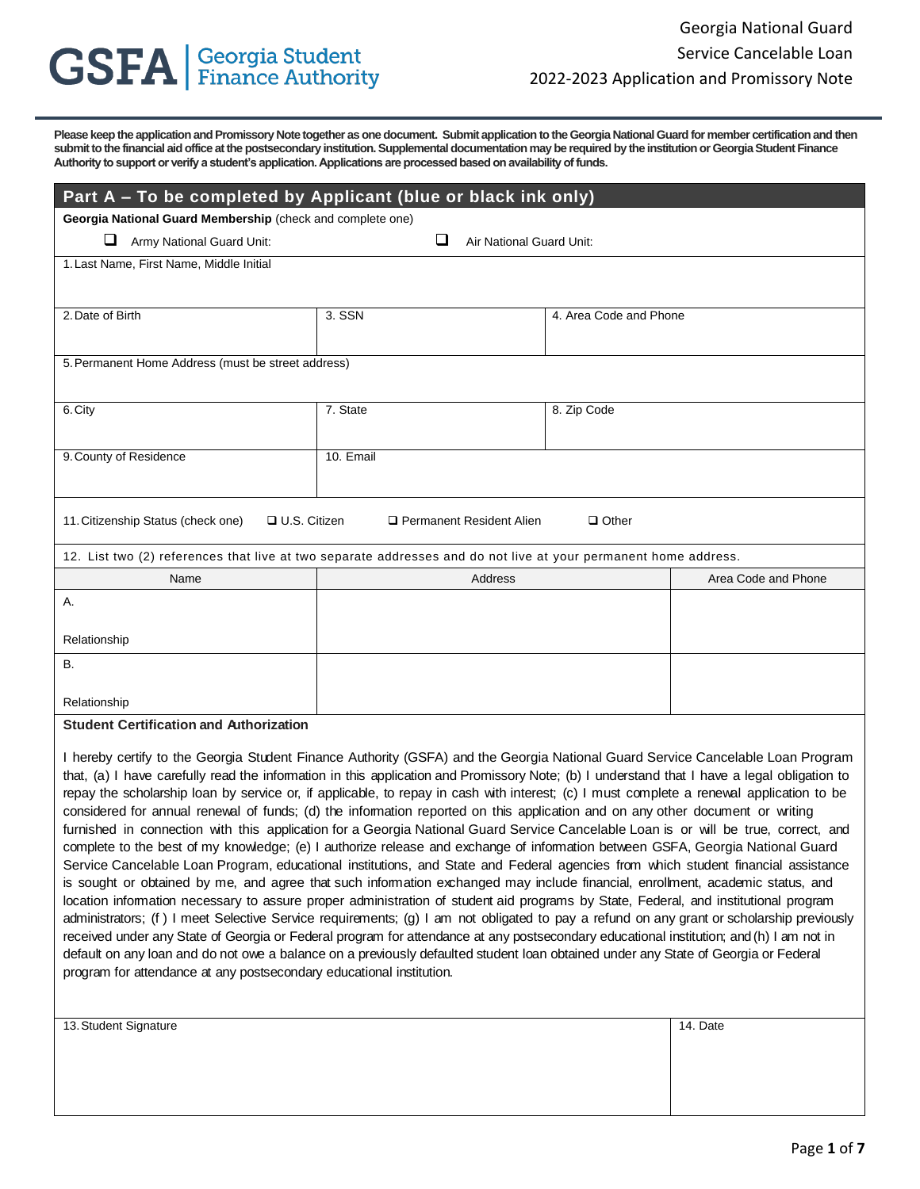# **GSFA** | Georgia Student

**Please keep the application and Promissory Note together as one document. Submit application to the Georgia National Guard for member certification and then submit to the financial aid office at the postsecondary institution. Supplemental documentation may be required by the institution or Georgia Student Finance Authority to support or verify a student's application. Applications are processed based on availability of funds.** 

| Part A – To be completed by Applicant (blue or black ink only)                                                                                                                                                                                                                                                                                                                                                                                                                                                                                                                                                                                                                                                                                                                                                                                                                                                                                                                                                                                                                                                                                                                                                                                                                                                                                                                                                                                                                                                                            |                               |                        |                     |  |
|-------------------------------------------------------------------------------------------------------------------------------------------------------------------------------------------------------------------------------------------------------------------------------------------------------------------------------------------------------------------------------------------------------------------------------------------------------------------------------------------------------------------------------------------------------------------------------------------------------------------------------------------------------------------------------------------------------------------------------------------------------------------------------------------------------------------------------------------------------------------------------------------------------------------------------------------------------------------------------------------------------------------------------------------------------------------------------------------------------------------------------------------------------------------------------------------------------------------------------------------------------------------------------------------------------------------------------------------------------------------------------------------------------------------------------------------------------------------------------------------------------------------------------------------|-------------------------------|------------------------|---------------------|--|
| Georgia National Guard Membership (check and complete one)                                                                                                                                                                                                                                                                                                                                                                                                                                                                                                                                                                                                                                                                                                                                                                                                                                                                                                                                                                                                                                                                                                                                                                                                                                                                                                                                                                                                                                                                                |                               |                        |                     |  |
| Army National Guard Unit:                                                                                                                                                                                                                                                                                                                                                                                                                                                                                                                                                                                                                                                                                                                                                                                                                                                                                                                                                                                                                                                                                                                                                                                                                                                                                                                                                                                                                                                                                                                 | ❏<br>Air National Guard Unit: |                        |                     |  |
| 1. Last Name, First Name, Middle Initial                                                                                                                                                                                                                                                                                                                                                                                                                                                                                                                                                                                                                                                                                                                                                                                                                                                                                                                                                                                                                                                                                                                                                                                                                                                                                                                                                                                                                                                                                                  |                               |                        |                     |  |
|                                                                                                                                                                                                                                                                                                                                                                                                                                                                                                                                                                                                                                                                                                                                                                                                                                                                                                                                                                                                                                                                                                                                                                                                                                                                                                                                                                                                                                                                                                                                           |                               |                        |                     |  |
| 2. Date of Birth                                                                                                                                                                                                                                                                                                                                                                                                                                                                                                                                                                                                                                                                                                                                                                                                                                                                                                                                                                                                                                                                                                                                                                                                                                                                                                                                                                                                                                                                                                                          | 3. SSN                        | 4. Area Code and Phone |                     |  |
|                                                                                                                                                                                                                                                                                                                                                                                                                                                                                                                                                                                                                                                                                                                                                                                                                                                                                                                                                                                                                                                                                                                                                                                                                                                                                                                                                                                                                                                                                                                                           |                               |                        |                     |  |
| 5. Permanent Home Address (must be street address)                                                                                                                                                                                                                                                                                                                                                                                                                                                                                                                                                                                                                                                                                                                                                                                                                                                                                                                                                                                                                                                                                                                                                                                                                                                                                                                                                                                                                                                                                        |                               |                        |                     |  |
| 6. City                                                                                                                                                                                                                                                                                                                                                                                                                                                                                                                                                                                                                                                                                                                                                                                                                                                                                                                                                                                                                                                                                                                                                                                                                                                                                                                                                                                                                                                                                                                                   | 7. State                      | 8. Zip Code            |                     |  |
|                                                                                                                                                                                                                                                                                                                                                                                                                                                                                                                                                                                                                                                                                                                                                                                                                                                                                                                                                                                                                                                                                                                                                                                                                                                                                                                                                                                                                                                                                                                                           |                               |                        |                     |  |
| 9. County of Residence                                                                                                                                                                                                                                                                                                                                                                                                                                                                                                                                                                                                                                                                                                                                                                                                                                                                                                                                                                                                                                                                                                                                                                                                                                                                                                                                                                                                                                                                                                                    | 10. Email                     |                        |                     |  |
|                                                                                                                                                                                                                                                                                                                                                                                                                                                                                                                                                                                                                                                                                                                                                                                                                                                                                                                                                                                                                                                                                                                                                                                                                                                                                                                                                                                                                                                                                                                                           |                               |                        |                     |  |
| 11. Citizenship Status (check one)<br><b>□ U.S. Citizen</b>                                                                                                                                                                                                                                                                                                                                                                                                                                                                                                                                                                                                                                                                                                                                                                                                                                                                                                                                                                                                                                                                                                                                                                                                                                                                                                                                                                                                                                                                               | □ Permanent Resident Alien    | $\Box$ Other           |                     |  |
| 12. List two (2) references that live at two separate addresses and do not live at your permanent home address.                                                                                                                                                                                                                                                                                                                                                                                                                                                                                                                                                                                                                                                                                                                                                                                                                                                                                                                                                                                                                                                                                                                                                                                                                                                                                                                                                                                                                           |                               |                        |                     |  |
| Name                                                                                                                                                                                                                                                                                                                                                                                                                                                                                                                                                                                                                                                                                                                                                                                                                                                                                                                                                                                                                                                                                                                                                                                                                                                                                                                                                                                                                                                                                                                                      | Address                       |                        | Area Code and Phone |  |
| А.                                                                                                                                                                                                                                                                                                                                                                                                                                                                                                                                                                                                                                                                                                                                                                                                                                                                                                                                                                                                                                                                                                                                                                                                                                                                                                                                                                                                                                                                                                                                        |                               |                        |                     |  |
| Relationship                                                                                                                                                                                                                                                                                                                                                                                                                                                                                                                                                                                                                                                                                                                                                                                                                                                                                                                                                                                                                                                                                                                                                                                                                                                                                                                                                                                                                                                                                                                              |                               |                        |                     |  |
| В.                                                                                                                                                                                                                                                                                                                                                                                                                                                                                                                                                                                                                                                                                                                                                                                                                                                                                                                                                                                                                                                                                                                                                                                                                                                                                                                                                                                                                                                                                                                                        |                               |                        |                     |  |
|                                                                                                                                                                                                                                                                                                                                                                                                                                                                                                                                                                                                                                                                                                                                                                                                                                                                                                                                                                                                                                                                                                                                                                                                                                                                                                                                                                                                                                                                                                                                           |                               |                        |                     |  |
| Relationship                                                                                                                                                                                                                                                                                                                                                                                                                                                                                                                                                                                                                                                                                                                                                                                                                                                                                                                                                                                                                                                                                                                                                                                                                                                                                                                                                                                                                                                                                                                              |                               |                        |                     |  |
| <b>Student Certification and Authorization</b>                                                                                                                                                                                                                                                                                                                                                                                                                                                                                                                                                                                                                                                                                                                                                                                                                                                                                                                                                                                                                                                                                                                                                                                                                                                                                                                                                                                                                                                                                            |                               |                        |                     |  |
| I hereby certify to the Georgia Student Finance Authority (GSFA) and the Georgia National Guard Service Cancelable Loan Program<br>that, (a) I have carefully read the information in this application and Promissory Note; (b) I understand that I have a legal obligation to<br>repay the scholarship loan by service or, if applicable, to repay in cash with interest; (c) I must complete a renewal application to be<br>considered for annual renewal of funds; (d) the information reported on this application and on any other document or writing<br>furnished in connection with this application for a Georgia National Guard Service Cancelable Loan is or will be true, correct, and<br>complete to the best of my knowledge; (e) I authorize release and exchange of information between GSFA, Georgia National Guard<br>Service Cancelable Loan Program, educational institutions, and State and Federal agencies from which student financial assistance<br>is sought or obtained by me, and agree that such information exchanged may include financial, enrollment, academic status, and<br>location information necessary to assure proper administration of student aid programs by State, Federal, and institutional program<br>administrators; (f) I meet Selective Service requirements; (g) I am not obligated to pay a refund on any grant or scholarship previously<br>received under any State of Georgia or Eederal program for attendance at any postsecondary educational institution: and (h) I am not in |                               |                        |                     |  |

rie or Georgia or Federal program for attendance at any postsecondary educational institution; and (h) I am not in default on any loan and do not owe a balance on a previously defaulted student loan obtained under any State of Georgia or Federal program for attendance at any postsecondary educational institution.

| 13. Student Signature | 14. Date |
|-----------------------|----------|
|                       |          |
|                       |          |
|                       |          |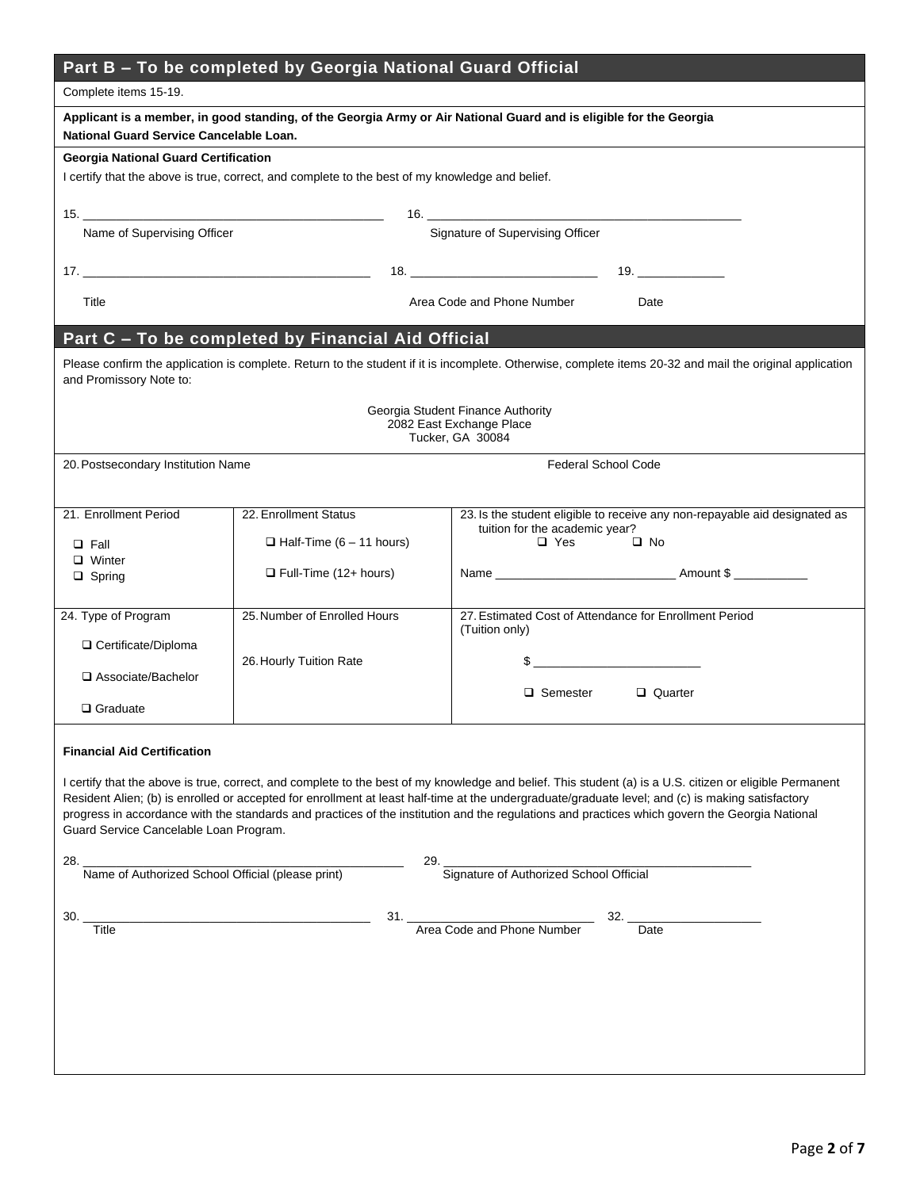| Part B – To be completed by Georgia National Guard Official |  |  |
|-------------------------------------------------------------|--|--|
|-------------------------------------------------------------|--|--|

| i o wo oomplotou wy locorgiu nutlonul ouuru ombial<br>Complete items 15-19.                                                                                   |                                                                                                 |                                                                                                                                                                                                                                                                                                                                                                                                                                                                 |  |  |
|---------------------------------------------------------------------------------------------------------------------------------------------------------------|-------------------------------------------------------------------------------------------------|-----------------------------------------------------------------------------------------------------------------------------------------------------------------------------------------------------------------------------------------------------------------------------------------------------------------------------------------------------------------------------------------------------------------------------------------------------------------|--|--|
| Applicant is a member, in good standing, of the Georgia Army or Air National Guard and is eligible for the Georgia<br>National Guard Service Cancelable Loan. |                                                                                                 |                                                                                                                                                                                                                                                                                                                                                                                                                                                                 |  |  |
| <b>Georgia National Guard Certification</b>                                                                                                                   | I certify that the above is true, correct, and complete to the best of my knowledge and belief. |                                                                                                                                                                                                                                                                                                                                                                                                                                                                 |  |  |
|                                                                                                                                                               |                                                                                                 |                                                                                                                                                                                                                                                                                                                                                                                                                                                                 |  |  |
|                                                                                                                                                               | Signature of Supervising Officer<br>Name of Supervising Officer                                 |                                                                                                                                                                                                                                                                                                                                                                                                                                                                 |  |  |
|                                                                                                                                                               |                                                                                                 |                                                                                                                                                                                                                                                                                                                                                                                                                                                                 |  |  |
| Title                                                                                                                                                         |                                                                                                 | Area Code and Phone Number<br>Date                                                                                                                                                                                                                                                                                                                                                                                                                              |  |  |
|                                                                                                                                                               | Part C - To be completed by Financial Aid Official                                              |                                                                                                                                                                                                                                                                                                                                                                                                                                                                 |  |  |
| and Promissory Note to:                                                                                                                                       |                                                                                                 | Please confirm the application is complete. Return to the student if it is incomplete. Otherwise, complete items 20-32 and mail the original application                                                                                                                                                                                                                                                                                                        |  |  |
|                                                                                                                                                               |                                                                                                 | Georgia Student Finance Authority<br>2082 East Exchange Place<br>Tucker, GA 30084                                                                                                                                                                                                                                                                                                                                                                               |  |  |
| 20. Postsecondary Institution Name                                                                                                                            |                                                                                                 | <b>Federal School Code</b>                                                                                                                                                                                                                                                                                                                                                                                                                                      |  |  |
|                                                                                                                                                               |                                                                                                 |                                                                                                                                                                                                                                                                                                                                                                                                                                                                 |  |  |
| 21. Enrollment Period                                                                                                                                         | 22. Enrollment Status                                                                           | 23. Is the student eligible to receive any non-repayable aid designated as<br>tuition for the academic year?                                                                                                                                                                                                                                                                                                                                                    |  |  |
| $\Box$ Fall                                                                                                                                                   | $\Box$ Half-Time (6 - 11 hours)                                                                 | $\Box$ Yes<br>$\square$ No                                                                                                                                                                                                                                                                                                                                                                                                                                      |  |  |
| $\Box$ Winter<br>$\Box$ Spring                                                                                                                                | $\Box$ Full-Time (12+ hours)                                                                    |                                                                                                                                                                                                                                                                                                                                                                                                                                                                 |  |  |
| 24. Type of Program                                                                                                                                           | 25. Number of Enrolled Hours                                                                    | 27. Estimated Cost of Attendance for Enrollment Period                                                                                                                                                                                                                                                                                                                                                                                                          |  |  |
|                                                                                                                                                               |                                                                                                 | (Tuition only)                                                                                                                                                                                                                                                                                                                                                                                                                                                  |  |  |
| □ Certificate/Diploma                                                                                                                                         | 26. Hourly Tuition Rate                                                                         | <u> 1990 - Johann John Stone, mars et al.</u>                                                                                                                                                                                                                                                                                                                                                                                                                   |  |  |
| □ Associate/Bachelor                                                                                                                                          |                                                                                                 | $\Box$ Semester<br>Quarter                                                                                                                                                                                                                                                                                                                                                                                                                                      |  |  |
| $\Box$ Graduate                                                                                                                                               |                                                                                                 |                                                                                                                                                                                                                                                                                                                                                                                                                                                                 |  |  |
| <b>Financial Aid Certification</b>                                                                                                                            |                                                                                                 |                                                                                                                                                                                                                                                                                                                                                                                                                                                                 |  |  |
| Guard Service Cancelable Loan Program.                                                                                                                        |                                                                                                 | I certify that the above is true, correct, and complete to the best of my knowledge and belief. This student (a) is a U.S. citizen or eligible Permanent<br>Resident Alien; (b) is enrolled or accepted for enrollment at least half-time at the undergraduate/graduate level; and (c) is making satisfactory<br>progress in accordance with the standards and practices of the institution and the regulations and practices which govern the Georgia National |  |  |
| 29. Signature of Authorized School Official<br>28. Value of Authorized School Official (please print)                                                         |                                                                                                 |                                                                                                                                                                                                                                                                                                                                                                                                                                                                 |  |  |
|                                                                                                                                                               |                                                                                                 |                                                                                                                                                                                                                                                                                                                                                                                                                                                                 |  |  |
| 30. _<br>$\overline{T}$ itle                                                                                                                                  |                                                                                                 | 31. <u>Area Code</u> and Phone Number<br>$32.$ Date                                                                                                                                                                                                                                                                                                                                                                                                             |  |  |
|                                                                                                                                                               |                                                                                                 |                                                                                                                                                                                                                                                                                                                                                                                                                                                                 |  |  |
|                                                                                                                                                               |                                                                                                 |                                                                                                                                                                                                                                                                                                                                                                                                                                                                 |  |  |
|                                                                                                                                                               |                                                                                                 |                                                                                                                                                                                                                                                                                                                                                                                                                                                                 |  |  |
|                                                                                                                                                               |                                                                                                 |                                                                                                                                                                                                                                                                                                                                                                                                                                                                 |  |  |
|                                                                                                                                                               |                                                                                                 |                                                                                                                                                                                                                                                                                                                                                                                                                                                                 |  |  |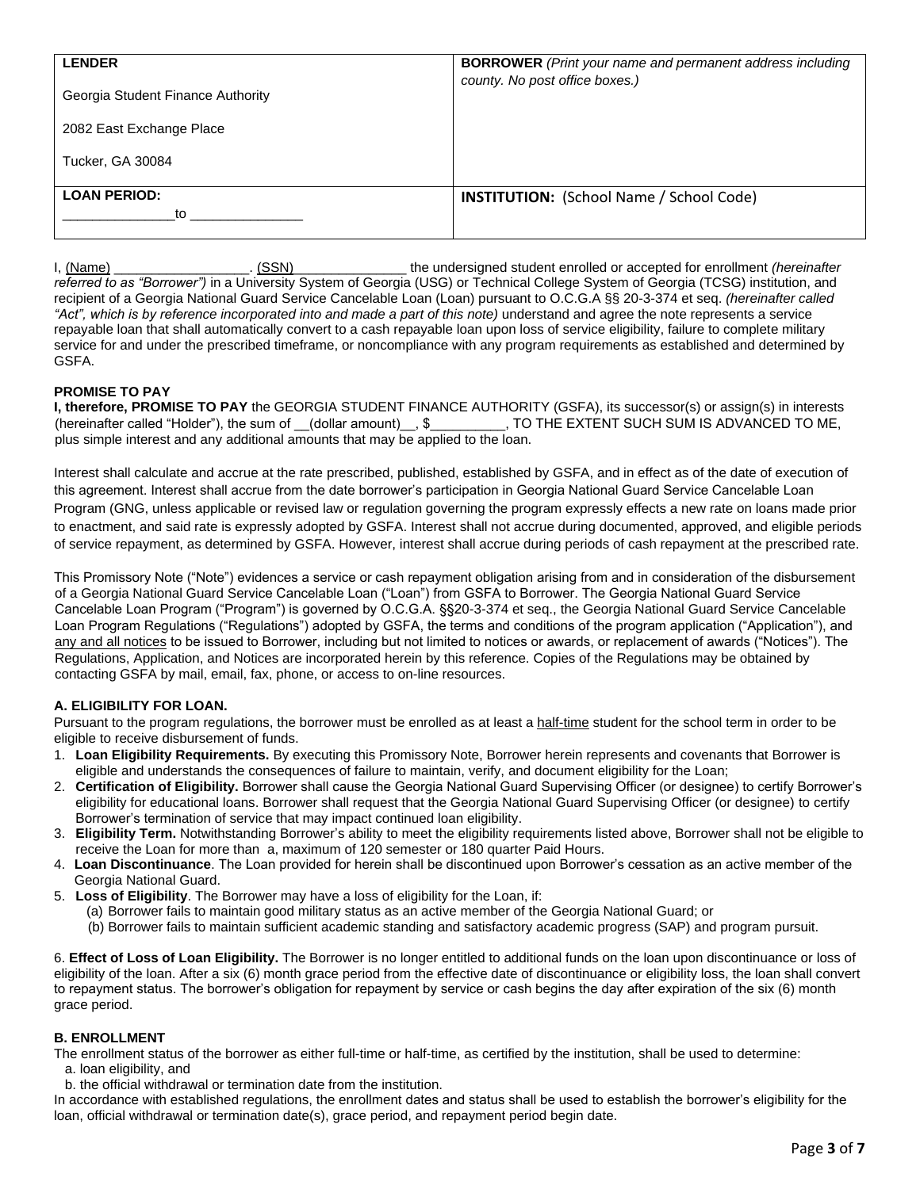| <b>LENDER</b><br>Georgia Student Finance Authority<br>2082 East Exchange Place<br>Tucker, GA 30084 | <b>BORROWER</b> (Print your name and permanent address including<br>county. No post office boxes.) |
|----------------------------------------------------------------------------------------------------|----------------------------------------------------------------------------------------------------|
| <b>LOAN PERIOD:</b><br>to                                                                          | <b>INSTITUTION:</b> (School Name / School Code)                                                    |

I, (Name) \_\_\_\_\_\_\_\_\_\_\_\_\_\_\_\_\_\_. (SSN)\_\_\_\_\_\_\_\_\_\_\_\_\_\_\_ the undersigned student enrolled or accepted for enrollment *(hereinafter referred to as "Borrower")* in a University System of Georgia (USG) or Technical College System of Georgia (TCSG) institution, and recipient of a Georgia National Guard Service Cancelable Loan (Loan) pursuant to O.C.G.A §§ 20-3-374 et seq. *(hereinafter called*  "Act", which is by reference incorporated into and made a part of this note) understand and agree the note represents a service repayable loan that shall automatically convert to a cash repayable loan upon loss of service eligibility, failure to complete military service for and under the prescribed timeframe, or noncompliance with any program requirements as established and determined by GSFA.

## **PROMISE TO PAY**

**I, therefore, PROMISE TO PAY** the GEORGIA STUDENT FINANCE AUTHORITY (GSFA), its successor(s) or assign(s) in interests (hereinafter called "Holder"), the sum of \_\_(dollar amount)\_\_, \$ \_\_\_\_\_\_\_, TO THE EXTENT SUCH SUM IS ADVANCED TO ME, plus simple interest and any additional amounts that may be applied to the loan.

Interest shall calculate and accrue at the rate prescribed, published, established by GSFA, and in effect as of the date of execution of this agreement. Interest shall accrue from the date borrower's participation in Georgia National Guard Service Cancelable Loan Program (GNG, unless applicable or revised law or regulation governing the program expressly effects a new rate on loans made prior to enactment, and said rate is expressly adopted by GSFA. Interest shall not accrue during documented, approved, and eligible periods of service repayment, as determined by GSFA. However, interest shall accrue during periods of cash repayment at the prescribed rate.

This Promissory Note ("Note") evidences a service or cash repayment obligation arising from and in consideration of the disbursement of a Georgia National Guard Service Cancelable Loan ("Loan") from GSFA to Borrower. The Georgia National Guard Service Cancelable Loan Program ("Program") is governed by O.C.G.A. §§20-3-374 et seq., the Georgia National Guard Service Cancelable Loan Program Regulations ("Regulations") adopted by GSFA, the terms and conditions of the program application ("Application"), and any and all notices to be issued to Borrower, including but not limited to notices or awards, or replacement of awards ("Notices"). The Regulations, Application, and Notices are incorporated herein by this reference. Copies of the Regulations may be obtained by contacting GSFA by mail, email, fax, phone, or access to on-line resources.

## **A. ELIGIBILITY FOR LOAN.**

Pursuant to the program regulations, the borrower must be enrolled as at least a half-time student for the school term in order to be eligible to receive disbursement of funds.

- 1. **Loan Eligibility Requirements.** By executing this Promissory Note, Borrower herein represents and covenants that Borrower is eligible and understands the consequences of failure to maintain, verify, and document eligibility for the Loan;
- 2. **Certification of Eligibility.** Borrower shall cause the Georgia National Guard Supervising Officer (or designee) to certify Borrower's eligibility for educational loans. Borrower shall request that the Georgia National Guard Supervising Officer (or designee) to certify Borrower's termination of service that may impact continued loan eligibility.
- 3. **Eligibility Term.** Notwithstanding Borrower's ability to meet the eligibility requirements listed above, Borrower shall not be eligible to receive the Loan for more than a, maximum of 120 semester or 180 quarter Paid Hours.
- 4. **Loan Discontinuance**. The Loan provided for herein shall be discontinued upon Borrower's cessation as an active member of the Georgia National Guard.
- 5. **Loss of Eligibility**. The Borrower may have a loss of eligibility for the Loan, if:
	- (a) Borrower fails to maintain good military status as an active member of the Georgia National Guard; or
	- (b) Borrower fails to maintain sufficient academic standing and satisfactory academic progress (SAP) and program pursuit.

6. **Effect of Loss of Loan Eligibility.** The Borrower is no longer entitled to additional funds on the loan upon discontinuance or loss of eligibility of the loan. After a six (6) month grace period from the effective date of discontinuance or eligibility loss, the loan shall convert to repayment status. The borrower's obligation for repayment by service or cash begins the day after expiration of the six (6) month grace period.

### **B. ENROLLMENT**

The enrollment status of the borrower as either full-time or half-time, as certified by the institution, shall be used to determine:

- a. loan eligibility, and
- b. the official withdrawal or termination date from the institution.

In accordance with established regulations, the enrollment dates and status shall be used to establish the borrower's eligibility for the loan, official withdrawal or termination date(s), grace period, and repayment period begin date.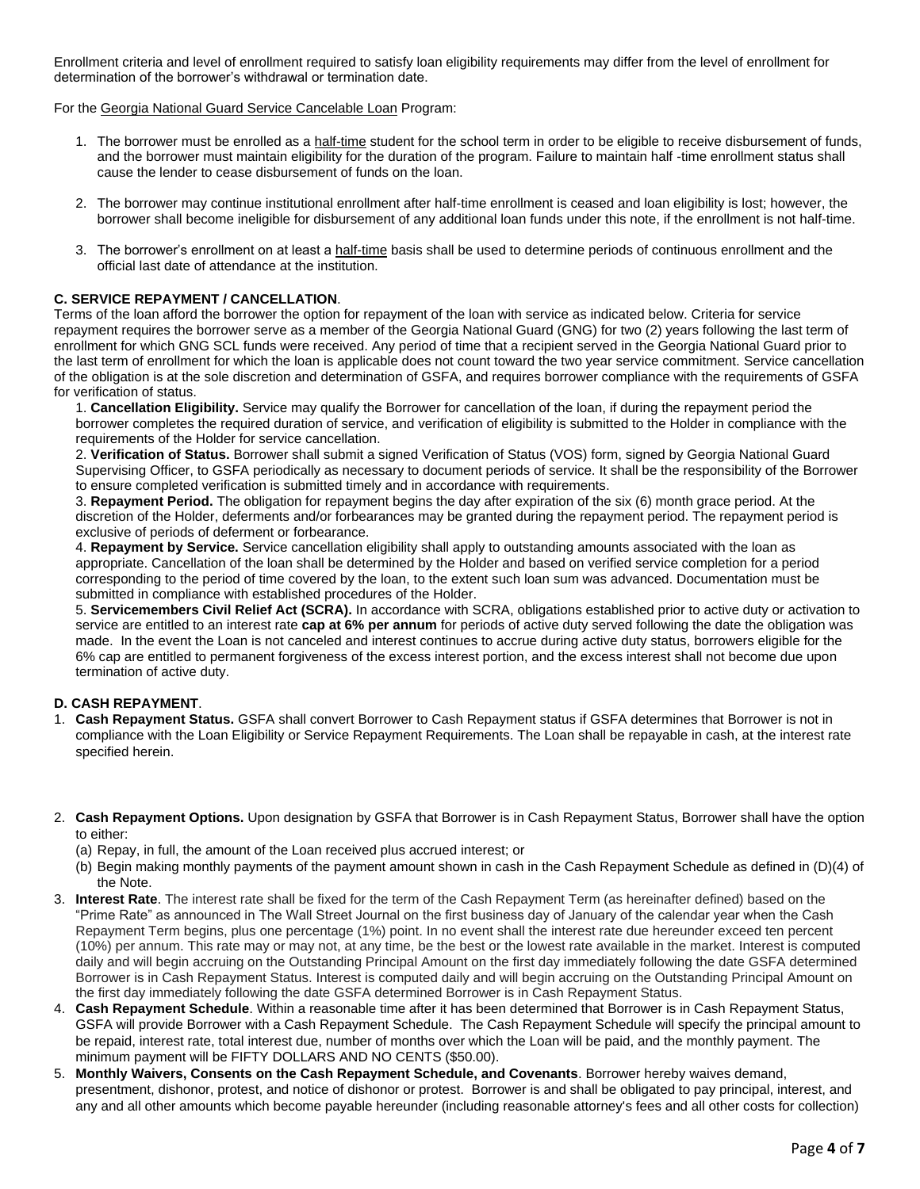Enrollment criteria and level of enrollment required to satisfy loan eligibility requirements may differ from the level of enrollment for determination of the borrower's withdrawal or termination date.

For the Georgia National Guard Service Cancelable Loan Program:

- 1. The borrower must be enrolled as a half-time student for the school term in order to be eligible to receive disbursement of funds, and the borrower must maintain eligibility for the duration of the program. Failure to maintain half -time enrollment status shall cause the lender to cease disbursement of funds on the loan.
- 2. The borrower may continue institutional enrollment after half-time enrollment is ceased and loan eligibility is lost; however, the borrower shall become ineligible for disbursement of any additional loan funds under this note, if the enrollment is not half-time.
- 3. The borrower's enrollment on at least a half-time basis shall be used to determine periods of continuous enrollment and the official last date of attendance at the institution.

# **C. SERVICE REPAYMENT / CANCELLATION**.

Terms of the loan afford the borrower the option for repayment of the loan with service as indicated below. Criteria for service repayment requires the borrower serve as a member of the Georgia National Guard (GNG) for two (2) years following the last term of enrollment for which GNG SCL funds were received. Any period of time that a recipient served in the Georgia National Guard prior to the last term of enrollment for which the loan is applicable does not count toward the two year service commitment. Service cancellation of the obligation is at the sole discretion and determination of GSFA, and requires borrower compliance with the requirements of GSFA for verification of status.

1. **Cancellation Eligibility.** Service may qualify the Borrower for cancellation of the loan, if during the repayment period the borrower completes the required duration of service, and verification of eligibility is submitted to the Holder in compliance with the requirements of the Holder for service cancellation.

2. **Verification of Status.** Borrower shall submit a signed Verification of Status (VOS) form, signed by Georgia National Guard Supervising Officer, to GSFA periodically as necessary to document periods of service. It shall be the responsibility of the Borrower to ensure completed verification is submitted timely and in accordance with requirements.

3. **Repayment Period.** The obligation for repayment begins the day after expiration of the six (6) month grace period. At the discretion of the Holder, deferments and/or forbearances may be granted during the repayment period. The repayment period is exclusive of periods of deferment or forbearance.

4. **Repayment by Service.** Service cancellation eligibility shall apply to outstanding amounts associated with the loan as appropriate. Cancellation of the loan shall be determined by the Holder and based on verified service completion for a period corresponding to the period of time covered by the loan, to the extent such loan sum was advanced. Documentation must be submitted in compliance with established procedures of the Holder.

5. **Servicemembers Civil Relief Act (SCRA).** In accordance with SCRA, obligations established prior to active duty or activation to service are entitled to an interest rate **cap at 6% per annum** for periods of active duty served following the date the obligation was made. In the event the Loan is not canceled and interest continues to accrue during active duty status, borrowers eligible for the 6% cap are entitled to permanent forgiveness of the excess interest portion, and the excess interest shall not become due upon termination of active duty.

### **D. CASH REPAYMENT**.

- 1. **Cash Repayment Status.** GSFA shall convert Borrower to Cash Repayment status if GSFA determines that Borrower is not in compliance with the Loan Eligibility or Service Repayment Requirements. The Loan shall be repayable in cash, at the interest rate specified herein.
- 2. **Cash Repayment Options.** Upon designation by GSFA that Borrower is in Cash Repayment Status, Borrower shall have the option to either:
	- (a) Repay, in full, the amount of the Loan received plus accrued interest; or
	- (b) Begin making monthly payments of the payment amount shown in cash in the Cash Repayment Schedule as defined in (D)(4) of the Note.
- 3. **Interest Rate**. The interest rate shall be fixed for the term of the Cash Repayment Term (as hereinafter defined) based on the "Prime Rate" as announced in The Wall Street Journal on the first business day of January of the calendar year when the Cash Repayment Term begins, plus one percentage (1%) point. In no event shall the interest rate due hereunder exceed ten percent (10%) per annum. This rate may or may not, at any time, be the best or the lowest rate available in the market. Interest is computed daily and will begin accruing on the Outstanding Principal Amount on the first day immediately following the date GSFA determined Borrower is in Cash Repayment Status. Interest is computed daily and will begin accruing on the Outstanding Principal Amount on the first day immediately following the date GSFA determined Borrower is in Cash Repayment Status.
- 4. **Cash Repayment Schedule**. Within a reasonable time after it has been determined that Borrower is in Cash Repayment Status, GSFA will provide Borrower with a Cash Repayment Schedule. The Cash Repayment Schedule will specify the principal amount to be repaid, interest rate, total interest due, number of months over which the Loan will be paid, and the monthly payment. The minimum payment will be FIFTY DOLLARS AND NO CENTS (\$50.00).
- 5. **Monthly Waivers, Consents on the Cash Repayment Schedule, and Covenants**. Borrower hereby waives demand, presentment, dishonor, protest, and notice of dishonor or protest. Borrower is and shall be obligated to pay principal, interest, and any and all other amounts which become payable hereunder (including reasonable attorney's fees and all other costs for collection)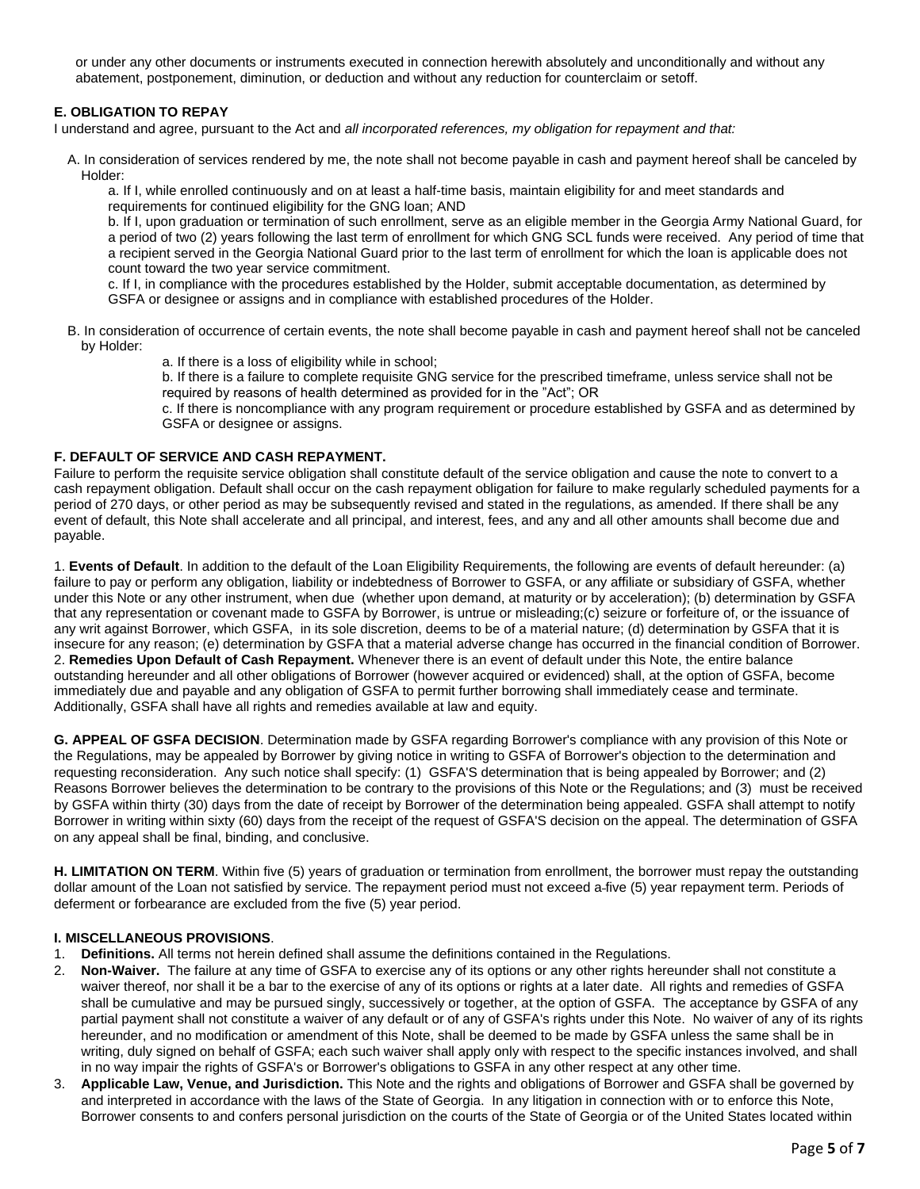or under any other documents or instruments executed in connection herewith absolutely and unconditionally and without any abatement, postponement, diminution, or deduction and without any reduction for counterclaim or setoff.

# **E. OBLIGATION TO REPAY**

I understand and agree, pursuant to the Act and *all incorporated references, my obligation for repayment and that:*

A. In consideration of services rendered by me, the note shall not become payable in cash and payment hereof shall be canceled by Holder:

a. If I, while enrolled continuously and on at least a half-time basis, maintain eligibility for and meet standards and requirements for continued eligibility for the GNG loan; AND

b. If I, upon graduation or termination of such enrollment, serve as an eligible member in the Georgia Army National Guard, for a period of two (2) years following the last term of enrollment for which GNG SCL funds were received. Any period of time that a recipient served in the Georgia National Guard prior to the last term of enrollment for which the loan is applicable does not count toward the two year service commitment.

c. If I, in compliance with the procedures established by the Holder, submit acceptable documentation, as determined by GSFA or designee or assigns and in compliance with established procedures of the Holder.

B. In consideration of occurrence of certain events, the note shall become payable in cash and payment hereof shall not be canceled by Holder:

a. If there is a loss of eligibility while in school;

b. If there is a failure to complete requisite GNG service for the prescribed timeframe, unless service shall not be required by reasons of health determined as provided for in the "Act"; OR

c. If there is noncompliance with any program requirement or procedure established by GSFA and as determined by GSFA or designee or assigns.

## **F. DEFAULT OF SERVICE AND CASH REPAYMENT.**

Failure to perform the requisite service obligation shall constitute default of the service obligation and cause the note to convert to a cash repayment obligation. Default shall occur on the cash repayment obligation for failure to make regularly scheduled payments for a period of 270 days, or other period as may be subsequently revised and stated in the regulations, as amended. If there shall be any event of default, this Note shall accelerate and all principal, and interest, fees, and any and all other amounts shall become due and payable.

1. **Events of Default**. In addition to the default of the Loan Eligibility Requirements, the following are events of default hereunder: (a) failure to pay or perform any obligation, liability or indebtedness of Borrower to GSFA, or any affiliate or subsidiary of GSFA, whether under this Note or any other instrument, when due (whether upon demand, at maturity or by acceleration); (b) determination by GSFA that any representation or covenant made to GSFA by Borrower, is untrue or misleading;(c) seizure or forfeiture of, or the issuance of any writ against Borrower, which GSFA, in its sole discretion, deems to be of a material nature; (d) determination by GSFA that it is insecure for any reason; (e) determination by GSFA that a material adverse change has occurred in the financial condition of Borrower. 2. **Remedies Upon Default of Cash Repayment.** Whenever there is an event of default under this Note, the entire balance outstanding hereunder and all other obligations of Borrower (however acquired or evidenced) shall, at the option of GSFA, become immediately due and payable and any obligation of GSFA to permit further borrowing shall immediately cease and terminate. Additionally, GSFA shall have all rights and remedies available at law and equity.

**G. APPEAL OF GSFA DECISION**. Determination made by GSFA regarding Borrower's compliance with any provision of this Note or the Regulations, may be appealed by Borrower by giving notice in writing to GSFA of Borrower's objection to the determination and requesting reconsideration. Any such notice shall specify: (1) GSFA'S determination that is being appealed by Borrower; and (2) Reasons Borrower believes the determination to be contrary to the provisions of this Note or the Regulations; and (3) must be received by GSFA within thirty (30) days from the date of receipt by Borrower of the determination being appealed. GSFA shall attempt to notify Borrower in writing within sixty (60) days from the receipt of the request of GSFA'S decision on the appeal. The determination of GSFA on any appeal shall be final, binding, and conclusive.

**H. LIMITATION ON TERM**. Within five (5) years of graduation or termination from enrollment, the borrower must repay the outstanding dollar amount of the Loan not satisfied by service. The repayment period must not exceed a five (5) year repayment term. Periods of deferment or forbearance are excluded from the five (5) year period.

### **I. MISCELLANEOUS PROVISIONS**.

- 1. **Definitions.** All terms not herein defined shall assume the definitions contained in the Regulations.
- 2. **Non-Waiver.** The failure at any time of GSFA to exercise any of its options or any other rights hereunder shall not constitute a waiver thereof, nor shall it be a bar to the exercise of any of its options or rights at a later date. All rights and remedies of GSFA shall be cumulative and may be pursued singly, successively or together, at the option of GSFA. The acceptance by GSFA of any partial payment shall not constitute a waiver of any default or of any of GSFA's rights under this Note. No waiver of any of its rights hereunder, and no modification or amendment of this Note, shall be deemed to be made by GSFA unless the same shall be in writing, duly signed on behalf of GSFA; each such waiver shall apply only with respect to the specific instances involved, and shall in no way impair the rights of GSFA's or Borrower's obligations to GSFA in any other respect at any other time.
- 3. **Applicable Law, Venue, and Jurisdiction.** This Note and the rights and obligations of Borrower and GSFA shall be governed by and interpreted in accordance with the laws of the State of Georgia. In any litigation in connection with or to enforce this Note, Borrower consents to and confers personal jurisdiction on the courts of the State of Georgia or of the United States located within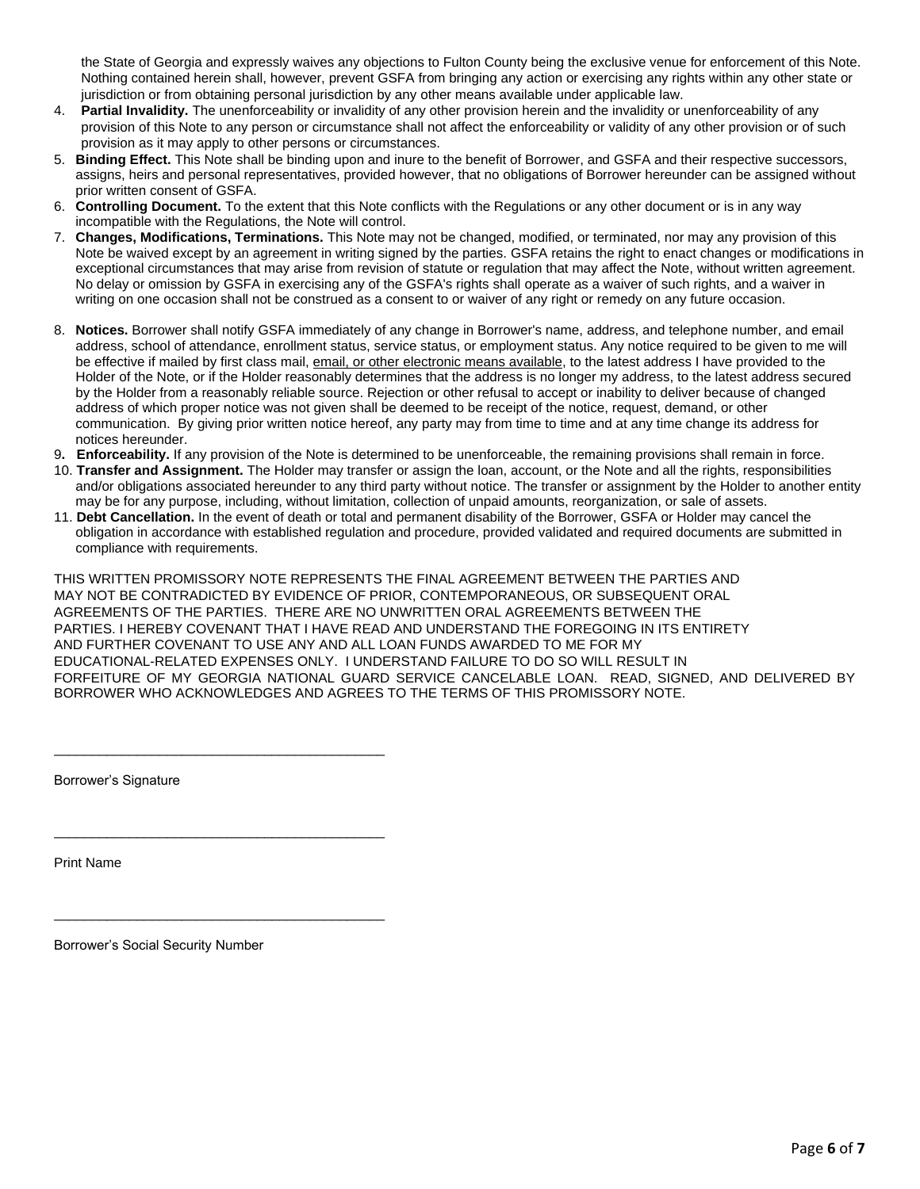the State of Georgia and expressly waives any objections to Fulton County being the exclusive venue for enforcement of this Note. Nothing contained herein shall, however, prevent GSFA from bringing any action or exercising any rights within any other state or jurisdiction or from obtaining personal jurisdiction by any other means available under applicable law.

- 4. **Partial Invalidity.** The unenforceability or invalidity of any other provision herein and the invalidity or unenforceability of any provision of this Note to any person or circumstance shall not affect the enforceability or validity of any other provision or of such provision as it may apply to other persons or circumstances.
- 5. **Binding Effect.** This Note shall be binding upon and inure to the benefit of Borrower, and GSFA and their respective successors, assigns, heirs and personal representatives, provided however, that no obligations of Borrower hereunder can be assigned without prior written consent of GSFA.
- 6. **Controlling Document.** To the extent that this Note conflicts with the Regulations or any other document or is in any way incompatible with the Regulations, the Note will control.
- 7. **Changes, Modifications, Terminations.** This Note may not be changed, modified, or terminated, nor may any provision of this Note be waived except by an agreement in writing signed by the parties. GSFA retains the right to enact changes or modifications in exceptional circumstances that may arise from revision of statute or regulation that may affect the Note, without written agreement. No delay or omission by GSFA in exercising any of the GSFA's rights shall operate as a waiver of such rights, and a waiver in writing on one occasion shall not be construed as a consent to or waiver of any right or remedy on any future occasion.
- 8. **Notices.** Borrower shall notify GSFA immediately of any change in Borrower's name, address, and telephone number, and email address, school of attendance, enrollment status, service status, or employment status. Any notice required to be given to me will be effective if mailed by first class mail, email, or other electronic means available, to the latest address I have provided to the Holder of the Note, or if the Holder reasonably determines that the address is no longer my address, to the latest address secured by the Holder from a reasonably reliable source. Rejection or other refusal to accept or inability to deliver because of changed address of which proper notice was not given shall be deemed to be receipt of the notice, request, demand, or other communication. By giving prior written notice hereof, any party may from time to time and at any time change its address for notices hereunder.
- 9**. Enforceability.** If any provision of the Note is determined to be unenforceable, the remaining provisions shall remain in force.
- 10. **Transfer and Assignment.** The Holder may transfer or assign the loan, account, or the Note and all the rights, responsibilities and/or obligations associated hereunder to any third party without notice. The transfer or assignment by the Holder to another entity may be for any purpose, including, without limitation, collection of unpaid amounts, reorganization, or sale of assets.
- 11. **Debt Cancellation.** In the event of death or total and permanent disability of the Borrower, GSFA or Holder may cancel the obligation in accordance with established regulation and procedure, provided validated and required documents are submitted in compliance with requirements.

THIS WRITTEN PROMISSORY NOTE REPRESENTS THE FINAL AGREEMENT BETWEEN THE PARTIES AND MAY NOT BE CONTRADICTED BY EVIDENCE OF PRIOR, CONTEMPORANEOUS, OR SUBSEQUENT ORAL AGREEMENTS OF THE PARTIES. THERE ARE NO UNWRITTEN ORAL AGREEMENTS BETWEEN THE PARTIES. I HEREBY COVENANT THAT I HAVE READ AND UNDERSTAND THE FOREGOING IN ITS ENTIRETY AND FURTHER COVENANT TO USE ANY AND ALL LOAN FUNDS AWARDED TO ME FOR MY EDUCATIONAL-RELATED EXPENSES ONLY. I UNDERSTAND FAILURE TO DO SO WILL RESULT IN FORFEITURE OF MY GEORGIA NATIONAL GUARD SERVICE CANCELABLE LOAN. READ, SIGNED, AND DELIVERED BY BORROWER WHO ACKNOWLEDGES AND AGREES TO THE TERMS OF THIS PROMISSORY NOTE.

Borrower's Signature

Print Name

Borrower's Social Security Number

\_\_\_\_\_\_\_\_\_\_\_\_\_\_\_\_\_\_\_\_\_\_\_\_\_\_\_\_\_\_\_\_\_\_\_\_\_\_\_\_\_\_\_\_

\_\_\_\_\_\_\_\_\_\_\_\_\_\_\_\_\_\_\_\_\_\_\_\_\_\_\_\_\_\_\_\_\_\_\_\_\_\_\_\_\_\_\_\_

\_\_\_\_\_\_\_\_\_\_\_\_\_\_\_\_\_\_\_\_\_\_\_\_\_\_\_\_\_\_\_\_\_\_\_\_\_\_\_\_\_\_\_\_